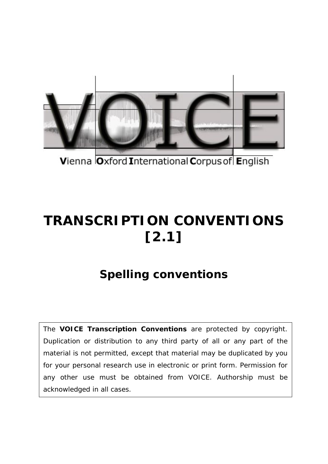

Vienna Oxford International Corpus of English

## **TRANSCRIPTION CONVENTIONS [2.1]**

## **Spelling conventions**

The **VOICE Transcription Conventions** are protected by copyright. Duplication or distribution to any third party of all or any part of the material is not permitted, except that material may be duplicated by you for your personal research use in electronic or print form. Permission for any other use must be obtained from VOICE. Authorship must be acknowledged in all cases.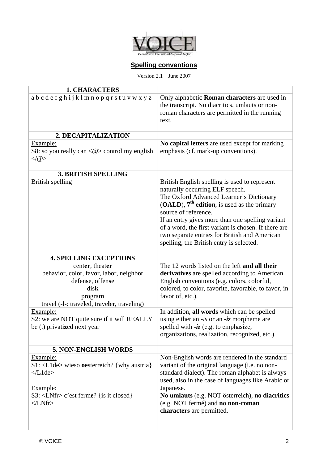

## **Spelling conventions**

Version 2.1 June 2007

| <b>1. CHARACTERS</b>                                                                                                                                                     |                                                                                                                                                                                                                                                                                                                                                                                                                |
|--------------------------------------------------------------------------------------------------------------------------------------------------------------------------|----------------------------------------------------------------------------------------------------------------------------------------------------------------------------------------------------------------------------------------------------------------------------------------------------------------------------------------------------------------------------------------------------------------|
| abcdefghijklmnopqrstuvwxyz                                                                                                                                               | Only alphabetic <b>Roman characters</b> are used in<br>the transcript. No diacritics, umlauts or non-<br>roman characters are permitted in the running<br>text.                                                                                                                                                                                                                                                |
| 2. DECAPITALIZATION                                                                                                                                                      |                                                                                                                                                                                                                                                                                                                                                                                                                |
| Example:<br>S8: so you really can $\langle \omega \rangle$ control my english<br>$\langle \rangle$ (@)                                                                   | No capital letters are used except for marking<br>emphasis (cf. mark-up conventions).                                                                                                                                                                                                                                                                                                                          |
| <b>3. BRITISH SPELLING</b>                                                                                                                                               |                                                                                                                                                                                                                                                                                                                                                                                                                |
| British spelling                                                                                                                                                         | British English spelling is used to represent<br>naturally occurring ELF speech.<br>The Oxford Advanced Learner's Dictionary<br>(OALD), $7th$ edition, is used as the primary<br>source of reference.<br>If an entry gives more than one spelling variant<br>of a word, the first variant is chosen. If there are<br>two separate entries for British and American<br>spelling, the British entry is selected. |
| <b>4. SPELLING EXCEPTIONS</b>                                                                                                                                            |                                                                                                                                                                                                                                                                                                                                                                                                                |
| center, theater<br>behavior, color, favor, labor, neighbor<br>defense, offense<br>disk<br>program<br>travel (-1-: traveled, traveler, traveling)                         | The 12 words listed on the left and all their<br>derivatives are spelled according to American<br>English conventions (e.g. colors, colorful,<br>colored, to color, favorite, favorable, to favor, in<br>favor of, etc.).                                                                                                                                                                                      |
| Example:<br>S2: we are NOT quite sure if it will REALLY<br>be (.) privatized next year                                                                                   | In addition, all words which can be spelled<br>using either an $-is$ or an $-iz$ morpheme are<br>spelled with $-iz$ (e.g. to emphasize,<br>organizations, realization, recognized, etc.).                                                                                                                                                                                                                      |
| <b>5. NON-ENGLISH WORDS</b>                                                                                                                                              |                                                                                                                                                                                                                                                                                                                                                                                                                |
| Example:<br>$S1: <$ L1de> wieso oesterreich? {why austria}<br>$\langle$ /L1de><br>Example:<br>S3: $\langle LNfr \rangle$ c'est ferme? {is it closed}<br>$\langle$ /LNfr> | Non-English words are rendered in the standard<br>variant of the original language (i.e. no non-<br>standard dialect). The roman alphabet is always<br>used, also in the case of languages like Arabic or<br>Japanese.<br>No umlauts (e.g. NOT österreich), no diacritics<br>(e.g. NOT fermé) and no non-roman<br>characters are permitted.                                                                    |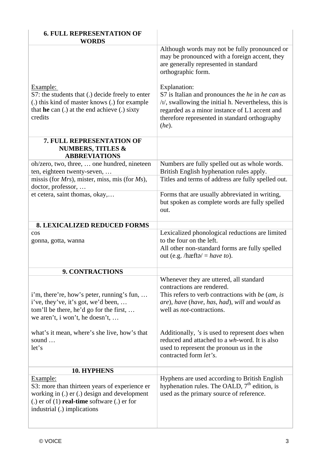| <b>6. FULL REPRESENTATION OF</b>                                                                                                                                                                   |                                                                                                                                                                                                                                                                                                                                                                                                                               |
|----------------------------------------------------------------------------------------------------------------------------------------------------------------------------------------------------|-------------------------------------------------------------------------------------------------------------------------------------------------------------------------------------------------------------------------------------------------------------------------------------------------------------------------------------------------------------------------------------------------------------------------------|
| <b>WORDS</b><br>Example:<br>S7: the students that (.) decide freely to enter<br>(.) this kind of master knows (.) for example<br>that he can $(.)$ at the end achieve $(.)$ sixty<br>credits       | Although words may not be fully pronounced or<br>may be pronounced with a foreign accent, they<br>are generally represented in standard<br>orthographic form.<br>Explanation:<br>S7 is Italian and pronounces the <i>he</i> in <i>he can</i> as<br>$\frac{1}{1}$ , swallowing the initial h. Nevertheless, this is<br>regarded as a minor instance of L1 accent and<br>therefore represented in standard orthography<br>(he). |
| 7. FULL REPRESENTATION OF<br><b>NUMBERS, TITLES &amp;</b><br><b>ABBREVIATIONS</b>                                                                                                                  |                                                                                                                                                                                                                                                                                                                                                                                                                               |
| oh/zero, two, three,  one hundred, nineteen<br>ten, eighteen twenty-seven,                                                                                                                         | Numbers are fully spelled out as whole words.<br>British English hyphenation rules apply.                                                                                                                                                                                                                                                                                                                                     |
| missis (for $Mrs$ ), mister, miss, mis (for $Ms$ ),<br>doctor, professor,                                                                                                                          | Titles and terms of address are fully spelled out.                                                                                                                                                                                                                                                                                                                                                                            |
| et cetera, saint thomas, okay,                                                                                                                                                                     | Forms that are usually abbreviated in writing,<br>but spoken as complete words are fully spelled<br>out.                                                                                                                                                                                                                                                                                                                      |
| <b>8. LEXICALIZED REDUCED FORMS</b>                                                                                                                                                                |                                                                                                                                                                                                                                                                                                                                                                                                                               |
| cos<br>gonna, gotta, wanna                                                                                                                                                                         | Lexicalized phonological reductions are limited<br>to the four on the left.<br>All other non-standard forms are fully spelled<br>out (e.g. /hæft $\phi$ / = have to).                                                                                                                                                                                                                                                         |
| <b>9. CONTRACTIONS</b>                                                                                                                                                                             |                                                                                                                                                                                                                                                                                                                                                                                                                               |
| i'm, there're, how's peter, running's fun,<br>i've, they've, it's got, we'd been,<br>tom'll be there, he'd go for the first,<br>we aren't, i won't, he doesn't,                                    | Whenever they are uttered, all standard<br>contractions are rendered.<br>This refers to verb contractions with be $(am, is$<br>are), have (have, has, had), will and would as<br>well as <i>not</i> -contractions.                                                                                                                                                                                                            |
| what's it mean, where's she live, how's that<br>sound<br>let's                                                                                                                                     | Additionally, 's is used to represent <i>does</i> when<br>reduced and attached to a wh-word. It is also<br>used to represent the pronoun $\mu s$ in the<br>contracted form let's.                                                                                                                                                                                                                                             |
| <b>10. HYPHENS</b>                                                                                                                                                                                 |                                                                                                                                                                                                                                                                                                                                                                                                                               |
| Example:<br>S3: more than thirteen years of experience er<br>working in (.) er (.) design and development<br>(.) $er$ of (1) <b>real-time</b> software (.) $er$ for<br>industrial (.) implications | Hyphens are used according to British English<br>hyphenation rules. The OALD, $7th$ edition, is<br>used as the primary source of reference.                                                                                                                                                                                                                                                                                   |